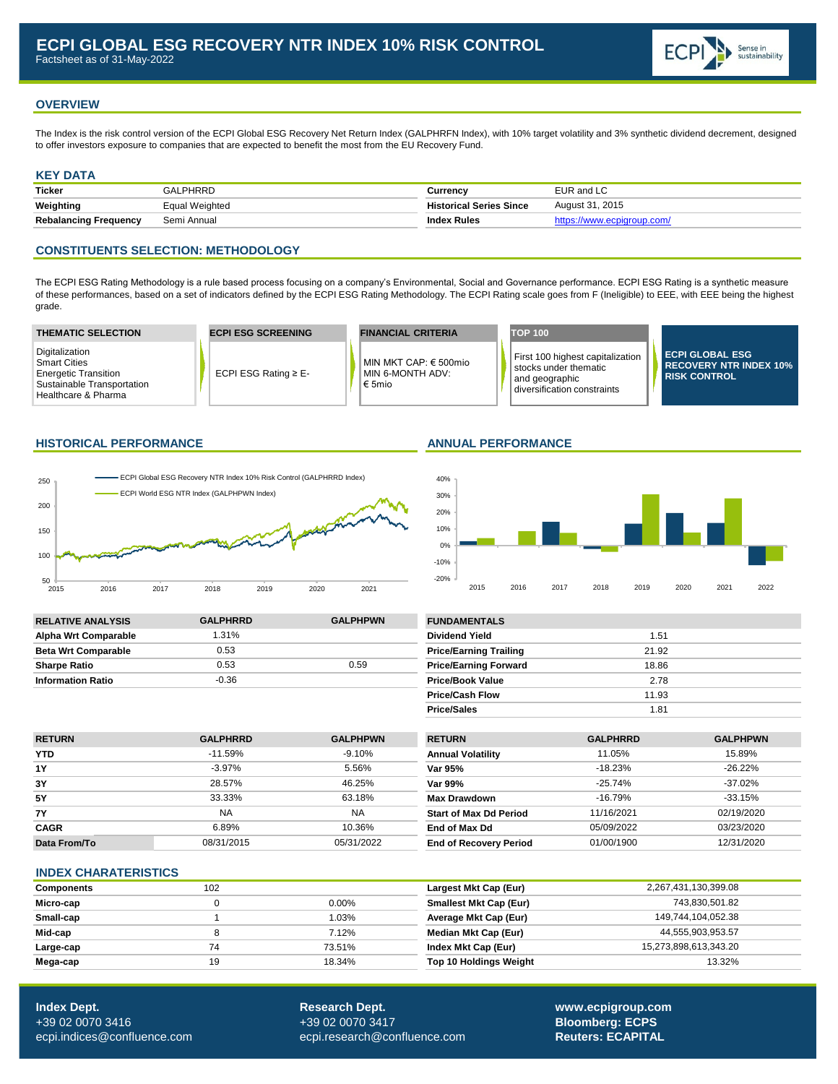

# **OVERVIEW**

The Index is the risk control version of the ECPI Global ESG Recovery Net Return Index (GALPHRFN Index), with 10% target volatility and 3% synthetic dividend decrement, designed to offer investors exposure to companies that are expected to benefit the most from the EU Recovery Fund.

# **KEY DATA**

| <b>Ticker</b>                | GALPHRRD       | こurrencv                       | EUR and LC                 |
|------------------------------|----------------|--------------------------------|----------------------------|
| Weighting                    | Equal Weighted | <b>Historical Series Since</b> | August 31, 2015            |
| <b>Rebalancing Frequency</b> | Semi Annual    | <b>Index Rules</b>             | https://www.ecpiaroup.com/ |

# **CONSTITUENTS SELECTION: METHODOLOGY**

The ECPI ESG Rating Methodology is a rule based process focusing on a company's Environmental, Social and Governance performance. ECPI ESG Rating is a synthetic measure of these performances, based on a set of indicators defined by the ECPI ESG Rating Methodology. The ECPI Rating scale goes from F (Ineligible) to EEE, with EEE being the highest grade.

| <b>THEMATIC SELECTION</b>                                                                                                 | <b>ECPI ESG SCREENING</b> | <b>FINANCIAL CRITERIA</b>                               | <b>TOP 100</b>                                                                                                   |                                                                                |
|---------------------------------------------------------------------------------------------------------------------------|---------------------------|---------------------------------------------------------|------------------------------------------------------------------------------------------------------------------|--------------------------------------------------------------------------------|
| Digitalization<br><b>Smart Cities</b><br><b>Energetic Transition</b><br>Sustainable Transportation<br>Healthcare & Pharma | ECPI ESG Rating $\geq$ E- | MIN MKT CAP: € 500mio<br>MIN 6-MONTH ADV:<br>€ 5 $m$ io | First 100 highest capitalization<br>l stocks under thematic<br>and geographic  <br>l diversification constraints | <b>ECPI GLOBAL ESG</b><br><b>RECOVERY NTR INDEX 10%</b><br><b>RISK CONTROL</b> |

### **HISTORICAL PERFORMANCE ANNUAL PERFORMANCE**



Price/Sales 1.81



| <b>RELATIVE ANALYSIS</b>   | <b>GALPHRRD</b> | <b>GALPHPWN</b> | <b>FUNDAMENTALS</b>           |       |
|----------------------------|-----------------|-----------------|-------------------------------|-------|
| Alpha Wrt Comparable       | 1.31%           |                 | <b>Dividend Yield</b>         | 1.51  |
| <b>Beta Wrt Comparable</b> | 0.53            |                 | <b>Price/Earning Trailing</b> | 21.92 |
| <b>Sharpe Ratio</b>        | 0.53            | 0.59            | <b>Price/Earning Forward</b>  | 18.86 |
| <b>Information Ratio</b>   | $-0.36$         |                 | <b>Price/Book Value</b>       | 2.78  |
|                            |                 |                 | <b>Price/Cash Flow</b>        | 11.93 |

| <b>RETURN</b> | <b>GALPHRRD</b> | <b>GALPHPWN</b> | <b>RETURN</b>                 | <b>GALPHRRD</b> | <b>GALPHPWN</b> |
|---------------|-----------------|-----------------|-------------------------------|-----------------|-----------------|
| <b>YTD</b>    | $-11.59\%$      | $-9.10%$        | <b>Annual Volatility</b>      | 11.05%          | 15.89%          |
| <b>1Y</b>     | -3.97%          | 5.56%           | Var 95%                       | $-18.23%$       | $-26.22\%$      |
| 3Y            | 28.57%          | 46.25%          | Var 99%                       | $-25.74%$       | $-37.02\%$      |
| <b>5Y</b>     | 33.33%          | 63.18%          | <b>Max Drawdown</b>           | $-16.79%$       | $-33.15%$       |
| <b>7Y</b>     | <b>NA</b>       | <b>NA</b>       | <b>Start of Max Dd Period</b> | 11/16/2021      | 02/19/2020      |
| <b>CAGR</b>   | 6.89%           | 10.36%          | End of Max Dd                 | 05/09/2022      | 03/23/2020      |
| Data From/To  | 08/31/2015      | 05/31/2022      | <b>End of Recovery Period</b> | 01/00/1900      | 12/31/2020      |

### **INDEX CHARATERISTICS**

| <b>Components</b> | 102 |          | Largest Mkt Cap (Eur)         | 2,267,431,130,399.08  |
|-------------------|-----|----------|-------------------------------|-----------------------|
| Micro-cap         |     | $0.00\%$ | <b>Smallest Mkt Cap (Eur)</b> | 743,830,501.82        |
| Small-cap         |     | 1.03%    | Average Mkt Cap (Eur)         | 149,744,104,052.38    |
| Mid-cap           |     | 7.12%    | Median Mkt Cap (Eur)          | 44,555,903,953.57     |
| Large-cap         | 74  | 73.51%   | Index Mkt Cap (Eur)           | 15,273,898,613,343.20 |
| Mega-cap          | 19  | 18.34%   | <b>Top 10 Holdings Weight</b> | 13.32%                |

**Index Dept. Research Dept. [www.ecpigroup.com](http://www.ecpigroup.com/)**  +39 02 0070 3416 +39 02 0070 3417 **Bloomberg: ECPS** [ecpi.indices@confluence.com](mailto:ecpi.indices@cofluence.com) [ecpi.research@confluence.com](mailto:research@statpro.com) **Reuters: ECAPITAL Reuters: ECAPITAL**